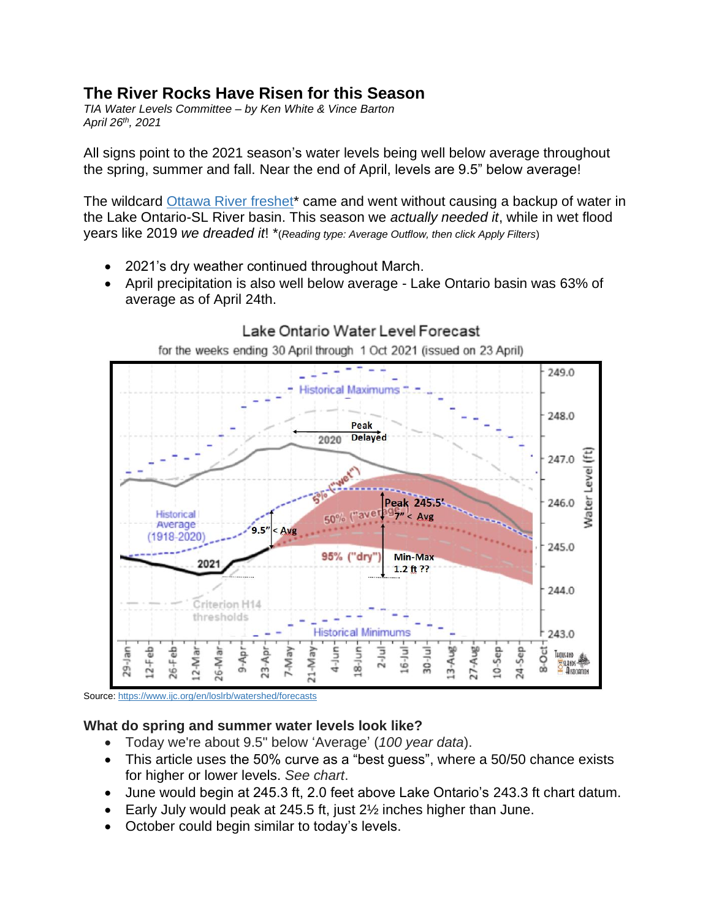# **The River Rocks Have Risen for this Season**

*TIA Water Levels Committee – by Ken White & Vince Barton April 26th, 2021*

All signs point to the 2021 season's water levels being well below average throughout the spring, summer and fall. Near the end of April, levels are 9.5" below average!

The wildcard [Ottawa River freshet\\*](http://ottawariver.ca/location/carillon/) came and went without causing a backup of water in the Lake Ontario-SL River basin. This season we *actually needed it*, while in wet flood years like 2019 *we dreaded it*! \*(*Reading type: Average Outflow, then click Apply Filters*)

- 2021's dry weather continued throughout March.
- April precipitation is also well below average Lake Ontario basin was 63% of average as of April 24th.



# Lake Ontario Water Level Forecast

Source:<https://www.ijc.org/en/loslrb/watershed/forecasts>

#### **What do spring and summer water levels look like?**

- Today we're about 9.5" below 'Average' (*100 year data*).
- This article uses the 50% curve as a "best guess", where a 50/50 chance exists for higher or lower levels. *See chart*.
- June would begin at 245.3 ft, 2.0 feet above Lake Ontario's 243.3 ft chart datum.
- Early July would peak at 245.5 ft, just 2½ inches higher than June.
- October could begin similar to today's levels.